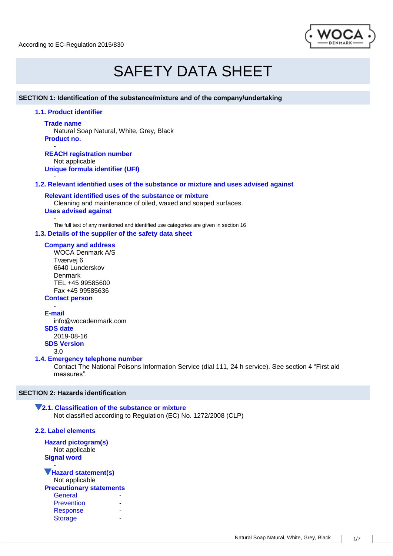According to EC-Regulation 2015/830



# SAFETY DATA SHEET

### **SECTION 1: Identification of the substance/mixture and of the company/undertaking**

**1.1. Product identifier**

#### **Trade name**

-

Natural Soap Natural, White, Grey, Black **Product no.**

- **REACH registration number** Not applicable **Unique formula identifier (UFI)**

# **1.2. Relevant identified uses of the substance or mixture and uses advised against**

**Relevant identified uses of the substance or mixture** Cleaning and maintenance of oiled, waxed and soaped surfaces. **Uses advised against** 

- The full text of any mentioned and identified use categories are given in section 16

#### **1.3. Details of the supplier of the safety data sheet**

**Company and address** WOCA Denmark A/S Tværvej 6 6640 Lunderskov Denmark TEL +45 99585600 Fax +45 99585636 **Contact person**

- **E-mail** info@wocadenmark.com **SDS date** 2019-08-16 **SDS Version** 3.0

#### **1.4. Emergency telephone number**

Contact The National Poisons Information Service (dial 111, 24 h service). See section 4 "First aid measures".

# **SECTION 2: Hazards identification**

# **2.1. Classification of the substance or mixture**

Not classified according to Regulation (EC) No. 1272/2008 (CLP)

**2.2. Label elements**

-

**Hazard pictogram(s)** Not applicable **Signal word**

### **Hazard statement(s)**

Not applicable

**Precautionary statements**

| General           |  |
|-------------------|--|
| <b>Prevention</b> |  |
| <b>Response</b>   |  |
| <b>Storage</b>    |  |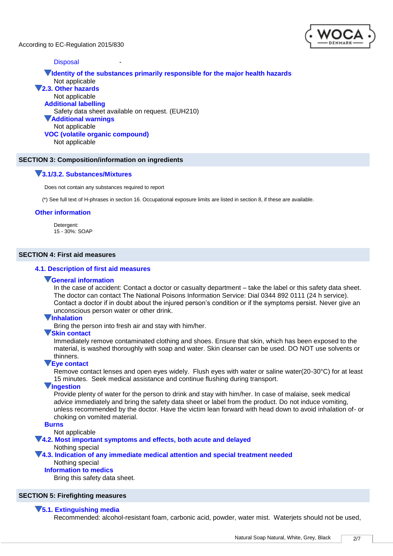According to EC-Regulation 2015/830



# **Disposal**

**Identity of the substances primarily responsible for the major health hazards** Not applicable **2.3. Other hazards** Not applicable **Additional labelling** Safety data sheet available on request. (EUH210) **Additional warnings** Not applicable **VOC (volatile organic compound)** Not applicable

# **SECTION 3: Composition/information on ingredients**

#### **3.1/3.2. Substances/Mixtures**

Does not contain any substances required to report

(\*) See full text of H-phrases in section 16. Occupational exposure limits are listed in section 8, if these are available.

#### **Other information**

Detergent: 15 - 30%: SOAP

#### **SECTION 4: First aid measures**

# **4.1. Description of first aid measures**

#### **General information**

In the case of accident: Contact a doctor or casualty department – take the label or this safety data sheet. The doctor can contact The National Poisons Information Service: Dial 0344 892 0111 (24 h service). Contact a doctor if in doubt about the injured person's condition or if the symptoms persist. Never give an unconscious person water or other drink.

#### **Inhalation**

Bring the person into fresh air and stay with him/her.

#### **Skin contact**

Immediately remove contaminated clothing and shoes. Ensure that skin, which has been exposed to the material, is washed thoroughly with soap and water. Skin cleanser can be used. DO NOT use solvents or thinners.

#### **Eye contact**

Remove contact lenses and open eyes widely. Flush eyes with water or saline water(20-30°C) for at least 15 minutes. Seek medical assistance and continue flushing during transport.

#### **Ingestion**

Provide plenty of water for the person to drink and stay with him/her. In case of malaise, seek medical advice immediately and bring the safety data sheet or label from the product. Do not induce vomiting, unless recommended by the doctor. Have the victim lean forward with head down to avoid inhalation of- or choking on vomited material.

#### **Burns**

Not applicable

# **4.2. Most important symptoms and effects, both acute and delayed**

#### Nothing special

**4.3. Indication of any immediate medical attention and special treatment needed** Nothing special

#### **Information to medics**

Bring this safety data sheet.

#### **SECTION 5: Firefighting measures**

#### **5.1. Extinguishing media**

Recommended: alcohol-resistant foam, carbonic acid, powder, water mist. Waterjets should not be used,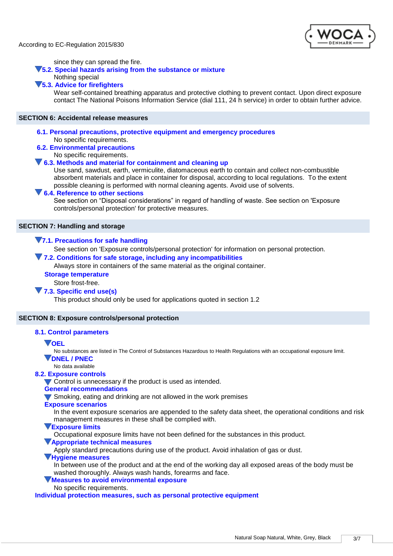

since they can spread the fire.

#### **5.2. Special hazards arising from the substance or mixture**

#### Nothing special **5.3. Advice for firefighters**

Wear self-contained breathing apparatus and protective clothing to prevent contact. Upon direct exposure contact The National Poisons Information Service (dial 111, 24 h service) in order to obtain further advice.

#### **SECTION 6: Accidental release measures**

**6.1. Personal precautions, protective equipment and emergency procedures** No specific requirements.

# **6.2. Environmental precautions**

No specific requirements.

#### **6.3. Methods and material for containment and cleaning up**

Use sand, sawdust, earth, vermiculite, diatomaceous earth to contain and collect non-combustible absorbent materials and place in container for disposal, according to local regulations. To the extent possible cleaning is performed with normal cleaning agents. Avoid use of solvents.

#### **6.4. Reference to other sections**

See section on "Disposal considerations" in regard of handling of waste. See section on 'Exposure controls/personal protection' for protective measures.

#### **SECTION 7: Handling and storage**

#### **7.1. Precautions for safe handling**

See section on 'Exposure controls/personal protection' for information on personal protection.

#### **7.2. Conditions for safe storage, including any incompatibilities**

Always store in containers of the same material as the original container.

# **Storage temperature**

Store frost-free.

#### **7.3. Specific end use(s)**

This product should only be used for applications quoted in section 1.2

#### **SECTION 8: Exposure controls/personal protection**

#### **8.1. Control parameters**

**VOEL** 

No substances are listed in The Control of Substances Hazardous to Health Regulations with an occupational exposure limit. **DNEL / PNEC**

#### No data available

#### **8.2. Exposure controls**

Control is unnecessary if the product is used as intended.

#### **General recommendations**

Smoking, eating and drinking are not allowed in the work premises

**Exposure scenarios**

In the event exposure scenarios are appended to the safety data sheet, the operational conditions and risk management measures in these shall be complied with.

**Exposure limits**

Occupational exposure limits have not been defined for the substances in this product.

#### **Appropriate technical measures**

Apply standard precautions during use of the product. Avoid inhalation of gas or dust.

#### **Hygiene measures**

In between use of the product and at the end of the working day all exposed areas of the body must be washed thoroughly. Always wash hands, forearms and face.

# **Measures to avoid environmental exposure**

No specific requirements.

**Individual protection measures, such as personal protective equipment**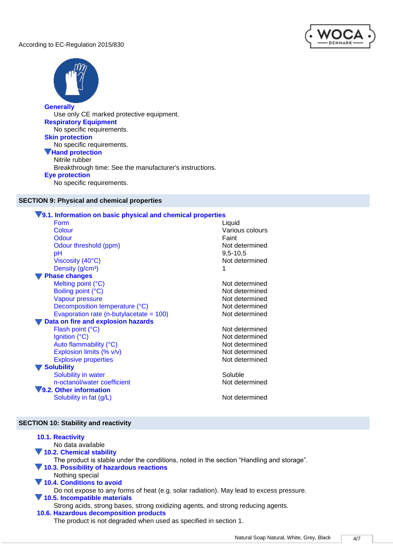According to EC-Regulation 2015/830





# **Generally**

Use only CE marked protective equipment. **Respiratory Equipment** No specific requirements. **Skin protection** No specific requirements. **Hand protection** Nitrile rubber Breakthrough time: See the manufacturer's instructions. **Eye protection** No specific requirements.

# **SECTION 9: Physical and chemical properties**

# **9.1. Information on basic physical and chemical properties**

| Form<br>Colour                             | Liquid<br>Various colours |
|--------------------------------------------|---------------------------|
| Odour                                      | Faint                     |
| Odour threshold (ppm)                      | Not determined            |
| рH                                         | $9,5 - 10,5$              |
| Viscosity (40°C)                           | Not determined            |
| Density (g/cm <sup>3</sup> )               |                           |
| <b>Phase changes</b>                       |                           |
| Melting point (°C)                         | Not determined            |
| Boiling point (°C)                         | Not determined            |
| Vapour pressure                            | Not determined            |
| Decomposition temperature (°C)             | Not determined            |
| Evaporation rate (n-butylacetate = $100$ ) | Not determined            |
| Data on fire and explosion hazards         |                           |
| Flash point (°C)                           | Not determined            |
| Ignition (°C)                              | Not determined            |
| Auto flammability (°C)                     | Not determined            |
| Explosion limits (% v/v)                   | Not determined            |
| <b>Explosive properties</b>                | Not determined            |
| <b>Solubility</b>                          |                           |
| Solubility in water                        | Soluble                   |
| n-octanol/water coefficient                | Not determined            |
| 9.2. Other information                     |                           |
| Solubility in fat (g/L)                    | Not determined            |
|                                            |                           |

# **SECTION 10: Stability and reactivity**

| <b>10.1. Reactivity</b><br>No data available                                             |
|------------------------------------------------------------------------------------------|
| 10.2. Chemical stability                                                                 |
| The product is stable under the conditions, noted in the section "Handling and storage". |
| 10.3. Possibility of hazardous reactions                                                 |
| Nothing special                                                                          |
| 10.4. Conditions to avoid                                                                |
| Do not expose to any forms of heat (e.g. solar radiation). May lead to excess pressure.  |
| 10.5. Incompatible materials                                                             |
| Strong acids, strong bases, strong oxidizing agents, and strong reducing agents.         |
| 10.6. Hazardous decomposition products                                                   |
| The product is not degraded when used as specified in section 1.                         |
|                                                                                          |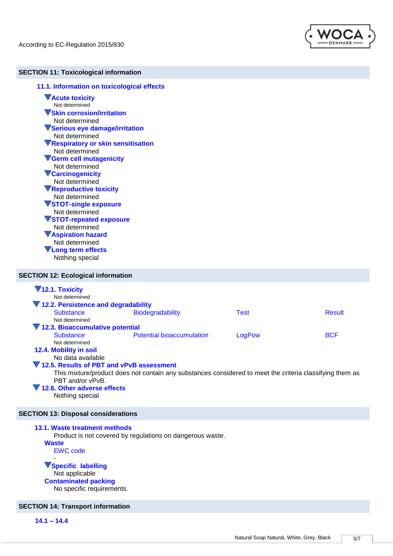

# **SECTION 11: Toxicological information**

| 11.1. Information on toxicological effects                                       |  |  |
|----------------------------------------------------------------------------------|--|--|
| <b>Acute toxicity</b><br>Not determined                                          |  |  |
| <b>VSkin corrosion/irritation</b>                                                |  |  |
| Not determined                                                                   |  |  |
| Serious eye damage/irritation                                                    |  |  |
| Not determined                                                                   |  |  |
| <b>VRespiratory or skin sensitisation</b>                                        |  |  |
| Not determined                                                                   |  |  |
| Germ cell mutagenicity                                                           |  |  |
| Not determined                                                                   |  |  |
| <b>V</b> Carcinogenicity                                                         |  |  |
| Not determined                                                                   |  |  |
| Reproductive toxicity                                                            |  |  |
| Not determined                                                                   |  |  |
| <b>VSTOT-single exposure</b>                                                     |  |  |
| Not determined                                                                   |  |  |
| <b>VSTOT-repeated exposure</b>                                                   |  |  |
| Not determined                                                                   |  |  |
| <b>VAspiration hazard</b>                                                        |  |  |
| Not determined                                                                   |  |  |
| <b>VLong term effects</b>                                                        |  |  |
| Nothing special                                                                  |  |  |
| <b>SECTION 12: Ecological information</b>                                        |  |  |
| 12.1. Toxicity<br>Not determined<br><b>March Department of the United States</b> |  |  |

| 12.2. Persistence and degradability      |                                                                                                          |             |               |
|------------------------------------------|----------------------------------------------------------------------------------------------------------|-------------|---------------|
| <b>Substance</b>                         | Biodegradability                                                                                         | <b>Test</b> | <b>Result</b> |
| Not determined                           |                                                                                                          |             |               |
| 12.3. Bioaccumulative potential          |                                                                                                          |             |               |
| <b>Substance</b>                         | <b>Potential bioaccumulation</b>                                                                         | LogPow      | <b>BCF</b>    |
| Not determined                           |                                                                                                          |             |               |
| 12.4. Mobility in soil                   |                                                                                                          |             |               |
| No data available                        |                                                                                                          |             |               |
| 12.5. Results of PBT and vPvB assessment |                                                                                                          |             |               |
|                                          | This mixture/product does not contain any substances considered to meet the criteria classifying them as |             |               |
| PBT and/or vPvB.                         |                                                                                                          |             |               |
| 12.6. Other adverse effects              |                                                                                                          |             |               |
| Nothing special                          |                                                                                                          |             |               |

# **SECTION 13: Disposal considerations**

**13.1. Waste treatment methods** Product is not covered by regulations on dangerous waste. **Waste** EWC code - **Specific labelling** Not applicable

**Contaminated packing** No specific requirements.

# **SECTION 14: Transport information**

**14.1 – 14.4**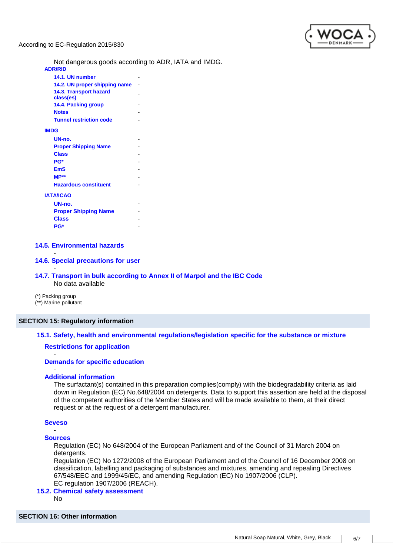

Not dangerous goods according to ADR, IATA and IMDG.

#### **14.5. Environmental hazards**

#### **14.6. Special precautions for user**

- **14.7. Transport in bulk according to Annex II of Marpol and the IBC Code** No data available

(\*) Packing group (\*\*) Marine pollutant

-

# **SECTION 15: Regulatory information**

# **15.1. Safety, health and environmental regulations/legislation specific for the substance or mixture**

# **Restrictions for application**

#### **Demands for specific education**

#### - **Additional information**

The surfactant(s) contained in this preparation complies(comply) with the biodegradability criteria as laid down in Regulation (EC) No.648/2004 on detergents. Data to support this assertion are held at the disposal of the competent authorities of the Member States and will be made available to them, at their direct request or at the request of a detergent manufacturer.

#### **Seveso**

-

#### - **Sources**

Regulation (EC) No 648/2004 of the European Parliament and of the Council of 31 March 2004 on detergents.

Regulation (EC) No 1272/2008 of the European Parliament and of the Council of 16 December 2008 on classification, labelling and packaging of substances and mixtures, amending and repealing Directives 67/548/EEC and 1999/45/EC, and amending Regulation (EC) No 1907/2006 (CLP). EC regulation 1907/2006 (REACH).

#### **15.2. Chemical safety assessment**

No

#### **SECTION 16: Other information**